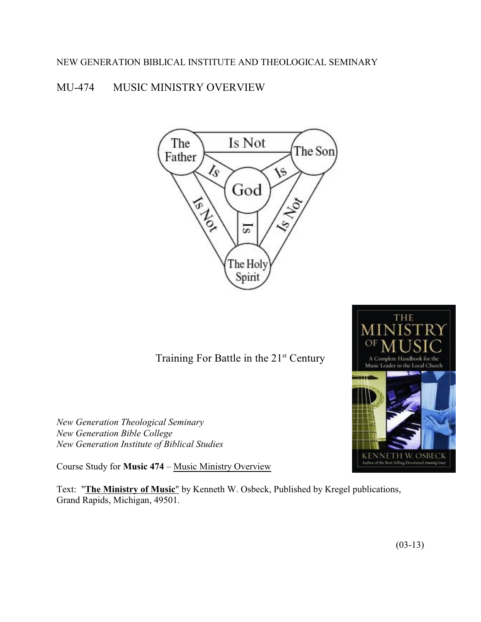## NEW GENERATION BIBLICAL INSTITUTE AND THEOLOGICAL SEMINARY

## MU-474 MUSIC MINISTRY OVERVIEW



Training For Battle in the 21<sup>st</sup> Century

*New Generation Theological Seminary New Generation Bible College New Generation Institute of Biblical Studies*

Course Study for **Music 474** – Music Ministry Overview

Text: "**The Ministry of Music**" by Kenneth W. Osbeck, Published by Kregel publications, Grand Rapids, Michigan, 49501.



 $(03-13)$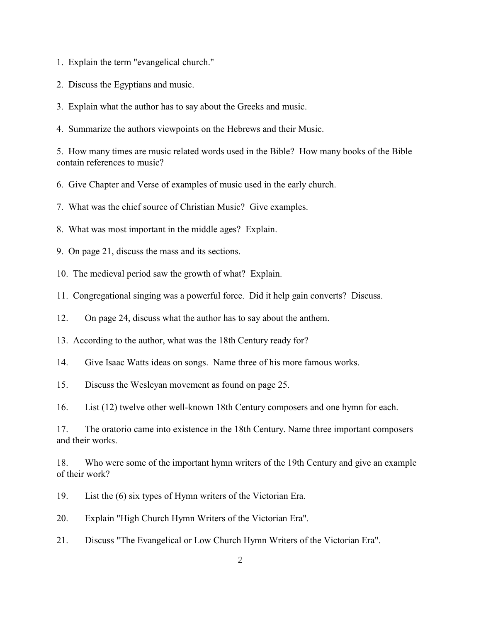1. Explain the term "evangelical church."

2. Discuss the Egyptians and music.

3. Explain what the author has to say about the Greeks and music.

4. Summarize the authors viewpoints on the Hebrews and their Music.

5. How many times are music related words used in the Bible? How many books of the Bible contain references to music?

6. Give Chapter and Verse of examples of music used in the early church.

7. What was the chief source of Christian Music? Give examples.

8. What was most important in the middle ages? Explain.

9. On page 21, discuss the mass and its sections.

10. The medieval period saw the growth of what? Explain.

11. Congregational singing was a powerful force. Did it help gain converts? Discuss.

12. On page 24, discuss what the author has to say about the anthem.

13. According to the author, what was the 18th Century ready for?

14. Give Isaac Watts ideas on songs. Name three of his more famous works.

15. Discuss the Wesleyan movement as found on page 25.

16. List (12) twelve other well-known 18th Century composers and one hymn for each.

17. The oratorio came into existence in the 18th Century. Name three important composers and their works.

18. Who were some of the important hymn writers of the 19th Century and give an example of their work?

19. List the (6) six types of Hymn writers of the Victorian Era.

20. Explain "High Church Hymn Writers of the Victorian Era".

21. Discuss "The Evangelical or Low Church Hymn Writers of the Victorian Era".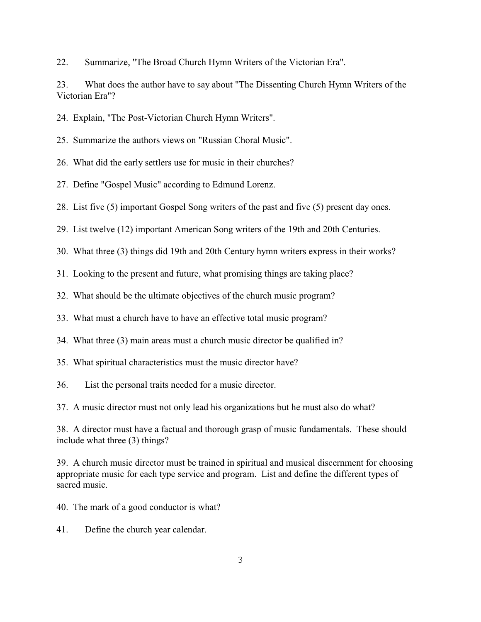22. Summarize, "The Broad Church Hymn Writers of the Victorian Era".

23. What does the author have to say about "The Dissenting Church Hymn Writers of the Victorian Era"?

24. Explain, "The Post-Victorian Church Hymn Writers".

- 25. Summarize the authors views on "Russian Choral Music".
- 26. What did the early settlers use for music in their churches?
- 27. Define "Gospel Music" according to Edmund Lorenz.
- 28. List five (5) important Gospel Song writers of the past and five (5) present day ones.
- 29. List twelve (12) important American Song writers of the 19th and 20th Centuries.
- 30. What three (3) things did 19th and 20th Century hymn writers express in their works?
- 31. Looking to the present and future, what promising things are taking place?
- 32. What should be the ultimate objectives of the church music program?
- 33. What must a church have to have an effective total music program?
- 34. What three (3) main areas must a church music director be qualified in?
- 35. What spiritual characteristics must the music director have?
- 36. List the personal traits needed for a music director.

37. A music director must not only lead his organizations but he must also do what?

38. A director must have a factual and thorough grasp of music fundamentals. These should include what three (3) things?

39. A church music director must be trained in spiritual and musical discernment for choosing appropriate music for each type service and program. List and define the different types of sacred music.

- 40. The mark of a good conductor is what?
- 41. Define the church year calendar.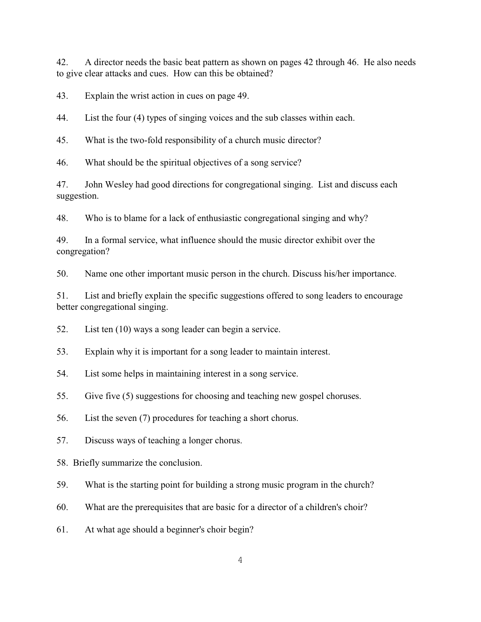42. A director needs the basic beat pattern as shown on pages 42 through 46. He also needs to give clear attacks and cues. How can this be obtained?

43. Explain the wrist action in cues on page 49.

44. List the four (4) types of singing voices and the sub classes within each.

45. What is the two-fold responsibility of a church music director?

46. What should be the spiritual objectives of a song service?

47. John Wesley had good directions for congregational singing. List and discuss each suggestion.

48. Who is to blame for a lack of enthusiastic congregational singing and why?

49. In a formal service, what influence should the music director exhibit over the congregation?

50. Name one other important music person in the church. Discuss his/her importance.

51. List and briefly explain the specific suggestions offered to song leaders to encourage better congregational singing.

52. List ten (10) ways a song leader can begin a service.

53. Explain why it is important for a song leader to maintain interest.

54. List some helps in maintaining interest in a song service.

55. Give five (5) suggestions for choosing and teaching new gospel choruses.

56. List the seven (7) procedures for teaching a short chorus.

57. Discuss ways of teaching a longer chorus.

58. Briefly summarize the conclusion.

59. What is the starting point for building a strong music program in the church?

60. What are the prerequisites that are basic for a director of a children's choir?

61. At what age should a beginner's choir begin?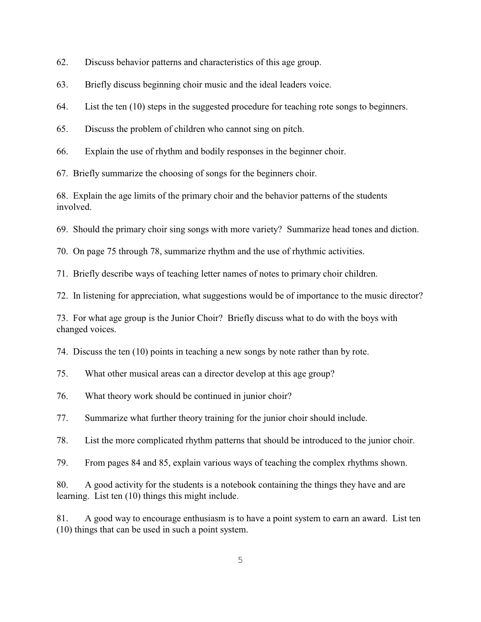62. Discuss behavior patterns and characteristics of this age group.

63. Briefly discuss beginning choir music and the ideal leaders voice.

64. List the ten (10) steps in the suggested procedure for teaching rote songs to beginners.

65. Discuss the problem of children who cannot sing on pitch.

66. Explain the use of rhythm and bodily responses in the beginner choir.

67. Briefly summarize the choosing of songs for the beginners choir.

68. Explain the age limits of the primary choir and the behavior patterns of the students involved.

69. Should the primary choir sing songs with more variety? Summarize head tones and diction.

70. On page 75 through 78, summarize rhythm and the use of rhythmic activities.

71. Briefly describe ways of teaching letter names of notes to primary choir children.

72. In listening for appreciation, what suggestions would be of importance to the music director?

73. For what age group is the Junior Choir? Briefly discuss what to do with the boys with changed voices.

74. Discuss the ten (10) points in teaching a new songs by note rather than by rote.

75. What other musical areas can a director develop at this age group?

76. What theory work should be continued in junior choir?

77. Summarize what further theory training for the junior choir should include.

78. List the more complicated rhythm patterns that should be introduced to the junior choir.

79. From pages 84 and 85, explain various ways of teaching the complex rhythms shown.

80. A good activity for the students is a notebook containing the things they have and are learning. List ten (10) things this might include.

81. A good way to encourage enthusiasm is to have a point system to earn an award. List ten (10) things that can be used in such a point system.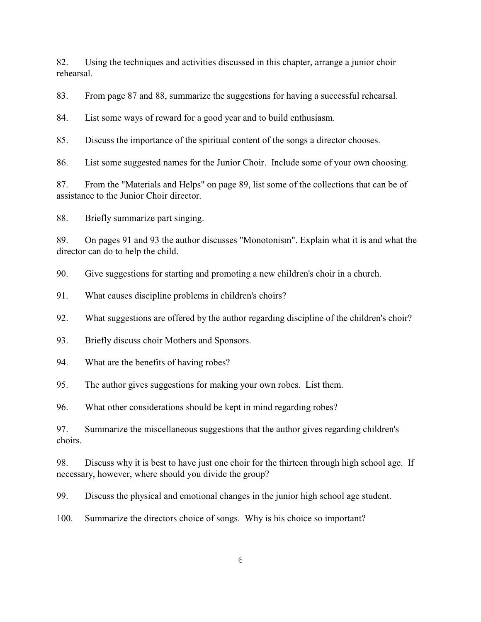82. Using the techniques and activities discussed in this chapter, arrange a junior choir rehearsal.

83. From page 87 and 88, summarize the suggestions for having a successful rehearsal.

84. List some ways of reward for a good year and to build enthusiasm.

85. Discuss the importance of the spiritual content of the songs a director chooses.

86. List some suggested names for the Junior Choir. Include some of your own choosing.

87. From the "Materials and Helps" on page 89, list some of the collections that can be of assistance to the Junior Choir director.

88. Briefly summarize part singing.

89. On pages 91 and 93 the author discusses "Monotonism". Explain what it is and what the director can do to help the child.

90. Give suggestions for starting and promoting a new children's choir in a church.

91. What causes discipline problems in children's choirs?

92. What suggestions are offered by the author regarding discipline of the children's choir?

93. Briefly discuss choir Mothers and Sponsors.

94. What are the benefits of having robes?

95. The author gives suggestions for making your own robes. List them.

96. What other considerations should be kept in mind regarding robes?

97. Summarize the miscellaneous suggestions that the author gives regarding children's choirs.

98. Discuss why it is best to have just one choir for the thirteen through high school age. If necessary, however, where should you divide the group?

99. Discuss the physical and emotional changes in the junior high school age student.

100. Summarize the directors choice of songs. Why is his choice so important?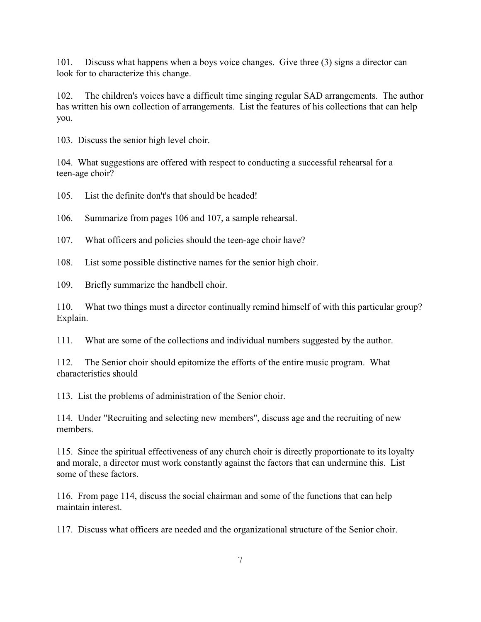101. Discuss what happens when a boys voice changes. Give three (3) signs a director can look for to characterize this change.

102. The children's voices have a difficult time singing regular SAD arrangements. The author has written his own collection of arrangements. List the features of his collections that can help you.

103. Discuss the senior high level choir.

104. What suggestions are offered with respect to conducting a successful rehearsal for a teen-age choir?

105. List the definite don't's that should be headed!

106. Summarize from pages 106 and 107, a sample rehearsal.

107. What officers and policies should the teen-age choir have?

108. List some possible distinctive names for the senior high choir.

109. Briefly summarize the handbell choir.

110. What two things must a director continually remind himself of with this particular group? Explain.

111. What are some of the collections and individual numbers suggested by the author.

112. The Senior choir should epitomize the efforts of the entire music program. What characteristics should

113. List the problems of administration of the Senior choir.

114. Under "Recruiting and selecting new members", discuss age and the recruiting of new members.

115. Since the spiritual effectiveness of any church choir is directly proportionate to its loyalty and morale, a director must work constantly against the factors that can undermine this. List some of these factors.

116. From page 114, discuss the social chairman and some of the functions that can help maintain interest.

117. Discuss what officers are needed and the organizational structure of the Senior choir.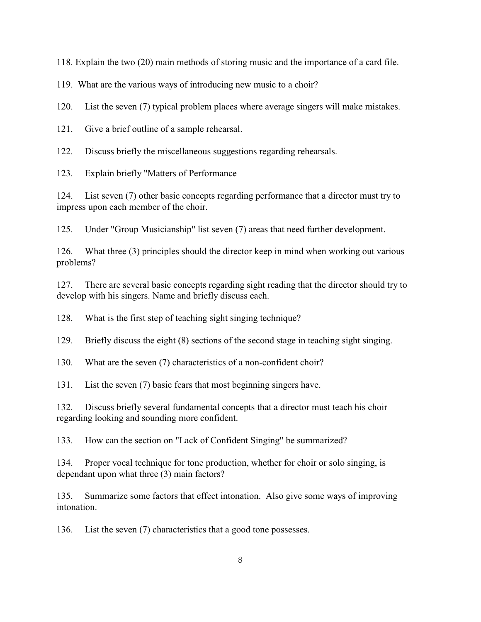118. Explain the two (20) main methods of storing music and the importance of a card file.

119. What are the various ways of introducing new music to a choir?

120. List the seven (7) typical problem places where average singers will make mistakes.

121. Give a brief outline of a sample rehearsal.

122. Discuss briefly the miscellaneous suggestions regarding rehearsals.

123. Explain briefly "Matters of Performance

124. List seven (7) other basic concepts regarding performance that a director must try to impress upon each member of the choir.

125. Under "Group Musicianship" list seven (7) areas that need further development.

126. What three (3) principles should the director keep in mind when working out various problems?

127. There are several basic concepts regarding sight reading that the director should try to develop with his singers. Name and briefly discuss each.

128. What is the first step of teaching sight singing technique?

129. Briefly discuss the eight (8) sections of the second stage in teaching sight singing.

130. What are the seven (7) characteristics of a non-confident choir?

131. List the seven (7) basic fears that most beginning singers have.

132. Discuss briefly several fundamental concepts that a director must teach his choir regarding looking and sounding more confident.

133. How can the section on "Lack of Confident Singing" be summarized?

134. Proper vocal technique for tone production, whether for choir or solo singing, is dependant upon what three (3) main factors?

135. Summarize some factors that effect intonation. Also give some ways of improving intonation.

136. List the seven (7) characteristics that a good tone possesses.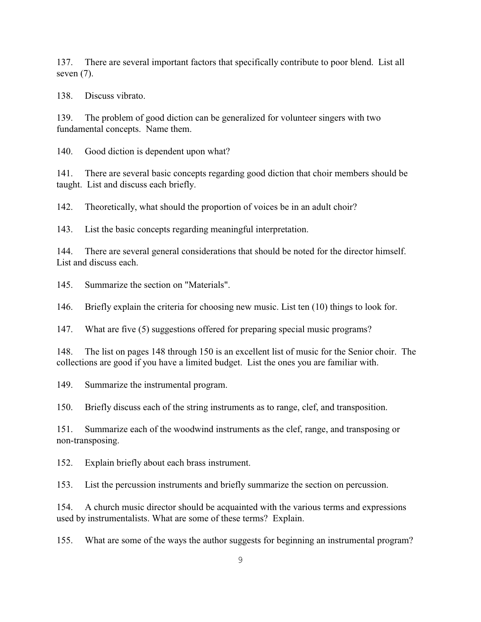137. There are several important factors that specifically contribute to poor blend. List all seven (7).

138. Discuss vibrato.

139. The problem of good diction can be generalized for volunteer singers with two fundamental concepts. Name them.

140. Good diction is dependent upon what?

141. There are several basic concepts regarding good diction that choir members should be taught. List and discuss each briefly.

142. Theoretically, what should the proportion of voices be in an adult choir?

143. List the basic concepts regarding meaningful interpretation.

144. There are several general considerations that should be noted for the director himself. List and discuss each.

145. Summarize the section on "Materials".

146. Briefly explain the criteria for choosing new music. List ten (10) things to look for.

147. What are five (5) suggestions offered for preparing special music programs?

148. The list on pages 148 through 150 is an excellent list of music for the Senior choir. The collections are good if you have a limited budget. List the ones you are familiar with.

149. Summarize the instrumental program.

150. Briefly discuss each of the string instruments as to range, clef, and transposition.

151. Summarize each of the woodwind instruments as the clef, range, and transposing or non-transposing.

152. Explain briefly about each brass instrument.

153. List the percussion instruments and briefly summarize the section on percussion.

154. A church music director should be acquainted with the various terms and expressions used by instrumentalists. What are some of these terms? Explain.

155. What are some of the ways the author suggests for beginning an instrumental program?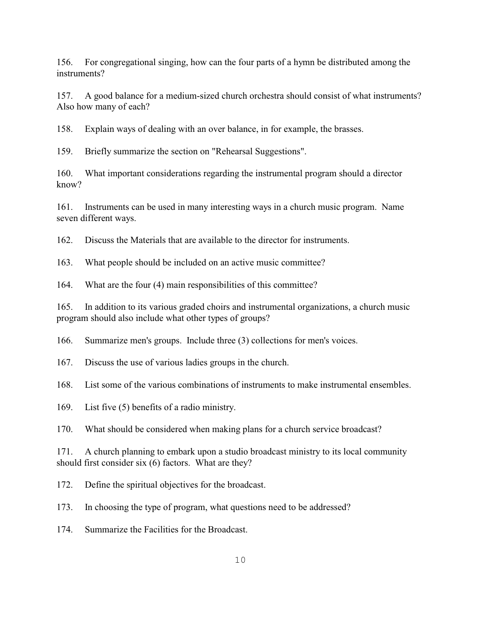156. For congregational singing, how can the four parts of a hymn be distributed among the instruments?

157. A good balance for a medium-sized church orchestra should consist of what instruments? Also how many of each?

158. Explain ways of dealing with an over balance, in for example, the brasses.

159. Briefly summarize the section on "Rehearsal Suggestions".

160. What important considerations regarding the instrumental program should a director know?

161. Instruments can be used in many interesting ways in a church music program. Name seven different ways.

162. Discuss the Materials that are available to the director for instruments.

163. What people should be included on an active music committee?

164. What are the four (4) main responsibilities of this committee?

165. In addition to its various graded choirs and instrumental organizations, a church music program should also include what other types of groups?

166. Summarize men's groups. Include three (3) collections for men's voices.

167. Discuss the use of various ladies groups in the church.

168. List some of the various combinations of instruments to make instrumental ensembles.

169. List five (5) benefits of a radio ministry.

170. What should be considered when making plans for a church service broadcast?

171. A church planning to embark upon a studio broadcast ministry to its local community should first consider six (6) factors. What are they?

172. Define the spiritual objectives for the broadcast.

173. In choosing the type of program, what questions need to be addressed?

174. Summarize the Facilities for the Broadcast.